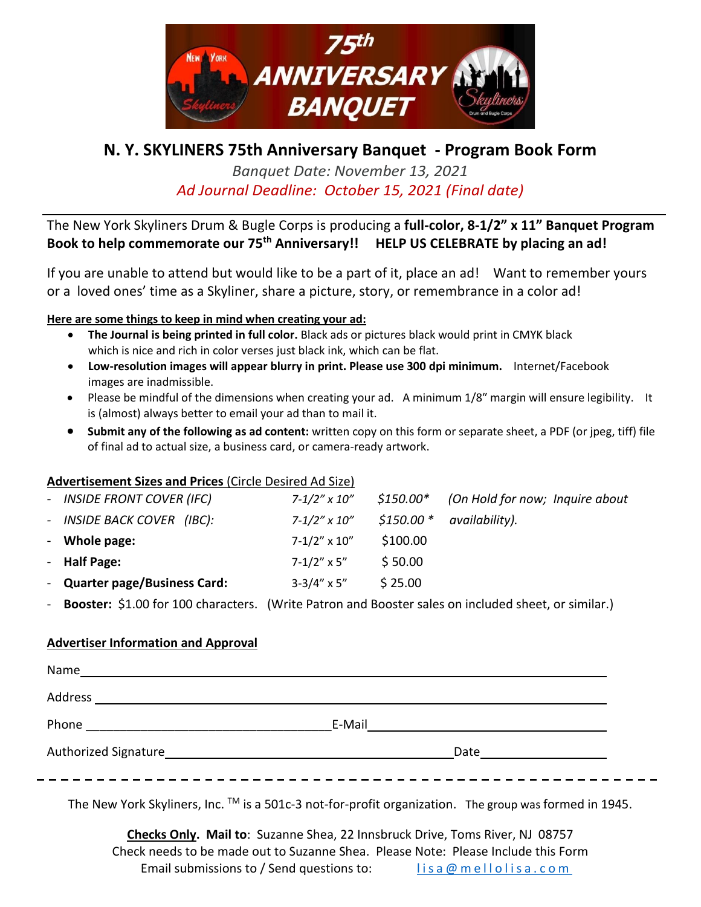

# **N. Y. SKYLINERS 75th Anniversary Banquet - Program Book Form**

*Banquet Date: November 13, 2021 Ad Journal Deadline: October 15, 2021 (Final date)*

The New York Skyliners Drum & Bugle Corps is producing a **full-color, 8-1/2" x 11" Banquet Program Book to help commemorate our 75th Anniversary!! HELP US CELEBRATE by placing an ad!**

If you are unable to attend but would like to be a part of it, place an ad! Want to remember yours or a loved ones' time as a Skyliner, share a picture, story, or remembrance in a color ad!

### **Here are some things to keep in mind when creating your ad:**

- **The Journal is being printed in full color.** Black ads or pictures black would print in CMYK black which is nice and rich in color verses just black ink, which can be flat.
- **Low-resolution images will appear blurry in print. Please use 300 dpi minimum.** Internet/Facebook images are inadmissible.
- Please be mindful of the dimensions when creating your ad. A minimum 1/8" margin will ensure legibility. It is (almost) always better to email your ad than to mail it.
- **Submit any of the following as ad content:** written copy on this form or separate sheet, a PDF (or jpeg, tiff) file of final ad to actual size, a business card, or camera-ready artwork.

#### **Advertisement Sizes and Prices** (Circle Desired Ad Size)

| - INSIDE FRONT COVER (IFC)    | $7 - 1/2''$ x $10''$  |            | $$150.00*$ (On Hold for now; Inquire about |
|-------------------------------|-----------------------|------------|--------------------------------------------|
| - INSIDE BACK COVER (IBC):    | $7 - 1/2''$ x $10''$  | $$150.00*$ | availability).                             |
| - Whole page:                 | $7 - 1/2" \times 10"$ | \$100.00   |                                            |
| - Half Page:                  | $7 - 1/2''$ x 5"      | \$50.00    |                                            |
| - Quarter page/Business Card: | $3-3/4'' \times 5''$  | \$25.00    |                                            |

Booster: \$1.00 for 100 characters. (Write Patron and Booster sales on included sheet, or similar.)

#### **Advertiser Information and Approval**

| Name                                                                                                                        |        |  |
|-----------------------------------------------------------------------------------------------------------------------------|--------|--|
| Address                                                                                                                     |        |  |
| Phone<br><u> 1980 - Jan Stein Harry Harry Harry Harry Harry Harry Harry Harry Harry Harry Harry Harry Harry Harry Harry</u> | E-Mail |  |
| Authorized Signature                                                                                                        | Date   |  |
|                                                                                                                             |        |  |

The New York Skyliners, Inc. ™ is a 501c-3 not-for-profit organization. The group was formed in 1945.

**Checks Only. Mail to**: Suzanne Shea, 22 Innsbruck Drive, Toms River, NJ 08757 Check needs to be made out to Suzanne Shea. Please Note: Please Include this Form Email submissions to / Send questions to: lis a @ m e l l o l i s a . c o m